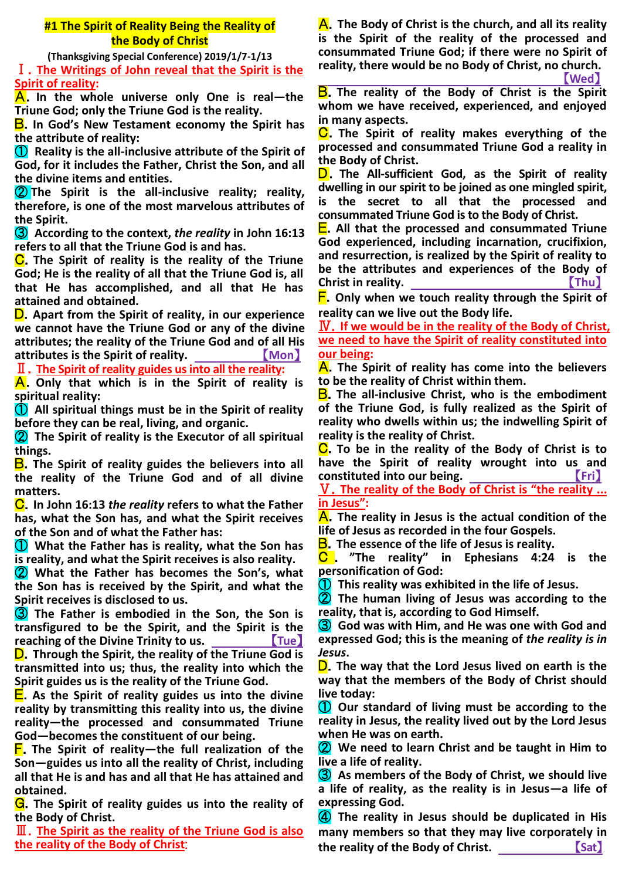# **#1 The Spirit of Reality Being the Reality of the Body of Christ**

**(Thanksgiving Special Conference) 2019/1/7-1/13** Ⅰ.**The Writings of John reveal that the Spirit is the Spirit of reality:**

A.**In the whole universe only One is real—the Triune God; only the Triune God is the reality.**

B.**In God's New Testament economy the Spirit has the attribute of reality:**

① **Reality is the all-inclusive attribute of the Spirit of God, for it includes the Father, Christ the Son, and all the divine items and entities.**

② **The Spirit is the all-inclusive reality; reality, therefore, is one of the most marvelous attributes of the Spirit.**

③ **According to the context,** *the reality* **in John 16:13 refers to all that the Triune God is and has.**

C.**The Spirit of reality is the reality of the Triune God; He is the reality of all that the Triune God is, all that He has accomplished, and all that He has attained and obtained.**

D.**Apart from the Spirit of reality, in our experience we cannot have the Triune God or any of the divine attributes; the reality of the Triune God and of all His attributes is the Spirit of reality.** 【**Mon**】

Ⅱ.**The Spirit of reality guides us into all the reality:**

A.**Only that which is in the Spirit of reality is spiritual reality:**

① **All spiritual things must be in the Spirit of reality before they can be real, living, and organic.**

② **The Spirit of reality is the Executor of all spiritual things.**

**B**. The Spirit of reality guides the believers into all **the reality of the Triune God and of all divine matters.**

C.**In John 16:13** *the reality* **refers to what the Father has, what the Son has, and what the Spirit receives of the Son and of what the Father has:**

① **What the Father has is reality, what the Son has is reality, and what the Spirit receives is also reality.**

② **What the Father has becomes the Son's, what the Son has is received by the Spirit, and what the Spirit receives is disclosed to us.**

③ **The Father is embodied in the Son, the Son is transfigured to be the Spirit, and the Spirit is the reaching of the Divine Trinity to us.** 【**Tue**】

D.**Through the Spirit, the reality of the Triune God is transmitted into us; thus, the reality into which the Spirit guides us is the reality of the Triune God.**

E.**As the Spirit of reality guides us into the divine reality by transmitting this reality into us, the divine reality—the processed and consummated Triune God—becomes the constituent of our being.**

F.**The Spirit of reality—the full realization of the Son—guides us into all the reality of Christ, including all that He is and has and all that He has attained and obtained.** 

G.**The Spirit of reality guides us into the reality of the Body of Christ.**

Ⅲ.**The Spirit as the reality of the Triune God is also the reality of the Body of Christ**:

A.**The Body of Christ is the church, and all its reality is the Spirit of the reality of the processed and consummated Triune God; if there were no Spirit of reality, there would be no Body of Christ, no church.**

【**Wed**】

B.**The reality of the Body of Christ is the Spirit whom we have received, experienced, and enjoyed in many aspects.**

C.**The Spirit of reality makes everything of the processed and consummated Triune God a reality in the Body of Christ.**

D.**The All-sufficient God, as the Spirit of reality dwelling in our spirit to be joined as one mingled spirit, is the secret to all that the processed and consummated Triune God is to the Body of Christ.**

E.**All that the processed and consummated Triune God experienced, including incarnation, crucifixion, and resurrection, is realized by the Spirit of reality to be the attributes and experiences of the Body of Christ in reality.** 【**Thu**】

F.**Only when we touch reality through the Spirit of reality can we live out the Body life.**

Ⅳ.**If we would be in the reality of the Body of Christ, we need to have the Spirit of reality constituted into our being:**

A.**The Spirit of reality has come into the believers to be the reality of Christ within them.**

B.**The all-inclusive Christ, who is the embodiment of the Triune God, is fully realized as the Spirit of reality who dwells within us; the indwelling Spirit of reality is the reality of Christ.**

C.**To be in the reality of the Body of Christ is to have the Spirit of reality wrought into us and constituted into our being.** 【**Fri**】

Ⅴ.**The reality of the Body of Christ is "the reality ... in Jesus":**

A.**The reality in Jesus is the actual condition of the life of Jesus as recorded in the four Gospels.**

B.**The essence of the life of Jesus is reality.**

C . **"The reality" in Ephesians 4:24 is the personification of God:**

① **This reality was exhibited in the life of Jesus.**

② **The human living of Jesus was according to the reality, that is, according to God Himself.**

③ **God was with Him, and He was one with God and expressed God; this is the meaning of** *the reality is in Jesus***.**

D.**The way that the Lord Jesus lived on earth is the way that the members of the Body of Christ should live today:**

① **Our standard of living must be according to the reality in Jesus, the reality lived out by the Lord Jesus when He was on earth.**

② **We need to learn Christ and be taught in Him to live a life of reality.**

③ **As members of the Body of Christ, we should live a life of reality, as the reality is in Jesus—a life of expressing God.**

④ **The reality in Jesus should be duplicated in His many members so that they may live corporately in the reality of the Body of Christ.** 【**Sat**】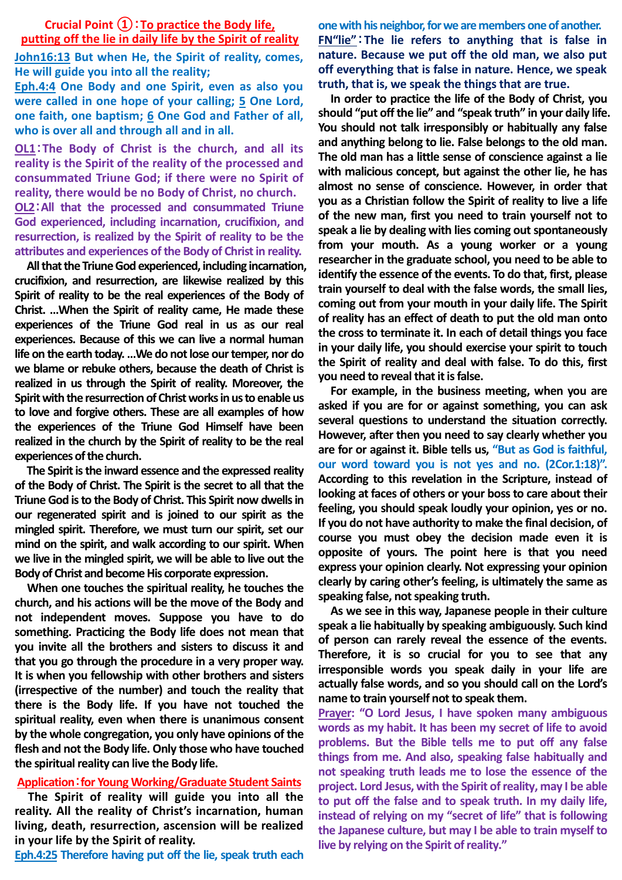# **Crucial Point ①**:**To practice the Body life, putting off the lie in daily life by the Spirit of reality**

**John16:13 But when He, the Spirit of reality, comes, He will guide you into all the reality;**

**Eph.4:4 One Body and one Spirit, even as also you were called in one hope of your calling; 5 One Lord, one faith, one baptism; 6 One God and Father of all, who is over all and through all and in all.**

**OL1**:**The Body of Christ is the church, and all its reality is the Spirit of the reality of the processed and consummated Triune God; if there were no Spirit of reality, there would be no Body of Christ, no church.**

**OL2**:**All that the processed and consummated Triune God experienced, including incarnation, crucifixion, and resurrection, is realized by the Spirit of reality to be the attributes and experiences of the Body of Christ in reality.**

**All that the Triune God experienced, including incarnation, crucifixion, and resurrection, are likewise realized by this Spirit of reality to be the real experiences of the Body of Christ. …When the Spirit of reality came, He made these experiences of the Triune God real in us as our real experiences. Because of this we can live a normal human life on the earth today. …We do not lose our temper, nor do we blame or rebuke others, because the death of Christ is realized in us through the Spirit of reality. Moreover, the Spirit with the resurrection of Christ works in us to enable us to love and forgive others. These are all examples of how the experiences of the Triune God Himself have been realized in the church by the Spirit of reality to be the real experiences of the church.**

**The Spirit is the inward essence and the expressed reality of the Body of Christ. The Spirit is the secret to all that the Triune God is to the Body of Christ. This Spirit now dwells in our regenerated spirit and is joined to our spirit as the mingled spirit. Therefore, we must turn our spirit, set our mind on the spirit, and walk according to our spirit. When we live in the mingled spirit, we will be able to live out the Body of Christ and become His corporate expression.**

**When one touches the spiritual reality, he touches the church, and his actions will be the move of the Body and not independent moves. Suppose you have to do something. Practicing the Body life does not mean that you invite all the brothers and sisters to discuss it and that you go through the procedure in a very proper way. It is when you fellowship with other brothers and sisters (irrespective of the number) and touch the reality that there is the Body life. If you have not touched the spiritual reality, even when there is unanimous consent by the whole congregation, you only have opinions of the flesh and not the Body life. Only those who have touched the spiritual reality can live the Body life.**

## **Application**:**for Young Working/Graduate Student Saints**

**The Spirit of reality will guide you into all the reality. All the reality of Christ's incarnation, human living, death, resurrection, ascension will be realized in your life by the Spirit of reality.**

**Eph.4:25 Therefore having put off the lie, speak truth each** 

**one with his neighbor, for we are members one of another. FN"lie"**:**The lie refers to anything that is false in nature. Because we put off the old man, we also put off everything that is false in nature. Hence, we speak truth, that is, we speak the things that are true.**

**In order to practice the life of the Body of Christ, you should "put off the lie" and "speak truth" in your daily life. You should not talk irresponsibly or habitually any false and anything belong to lie. False belongs to the old man. The old man has a little sense of conscience against a lie with malicious concept, but against the other lie, he has almost no sense of conscience. However, in order that you as a Christian follow the Spirit of reality to live a life of the new man, first you need to train yourself not to speak a lie by dealing with lies coming out spontaneously from your mouth. As a young worker or a young researcher in the graduate school, you need to be able to identify the essence of the events. To do that, first, please train yourself to deal with the false words, the small lies, coming out from your mouth in your daily life. The Spirit of reality has an effect of death to put the old man onto the cross to terminate it. In each of detail things you face in your daily life, you should exercise your spirit to touch the Spirit of reality and deal with false. To do this, first you need to reveal that it is false.**

**For example, in the business meeting, when you are asked if you are for or against something, you can ask several questions to understand the situation correctly. However, after then you need to say clearly whether you are for or against it. Bible tells us, "But as God is faithful, our word toward you is not yes and no. (2Cor.1:18)". According to this revelation in the Scripture, instead of looking at faces of others or your boss to care about their feeling, you should speak loudly your opinion, yes or no. If you do not have authority to make the final decision, of course you must obey the decision made even it is opposite of yours. The point here is that you need express your opinion clearly. Not expressing your opinion clearly by caring other's feeling, is ultimately the same as speaking false, not speaking truth.**

**As we see in this way, Japanese people in their culture speak a lie habitually by speaking ambiguously. Such kind of person can rarely reveal the essence of the events. Therefore, it is so crucial for you to see that any irresponsible words you speak daily in your life are actually false words, and so you should call on the Lord's name to train yourself not to speak them.**

**Prayer: "O Lord Jesus, I have spoken many ambiguous words as my habit. It has been my secret of life to avoid problems. But the Bible tells me to put off any false things from me. And also, speaking false habitually and not speaking truth leads me to lose the essence of the project. Lord Jesus, with the Spirit of reality, may I be able to put off the false and to speak truth. In my daily life, instead of relying on my "secret of life" that is following the Japanese culture, but may I be able to train myself to live by relying on the Spirit of reality."**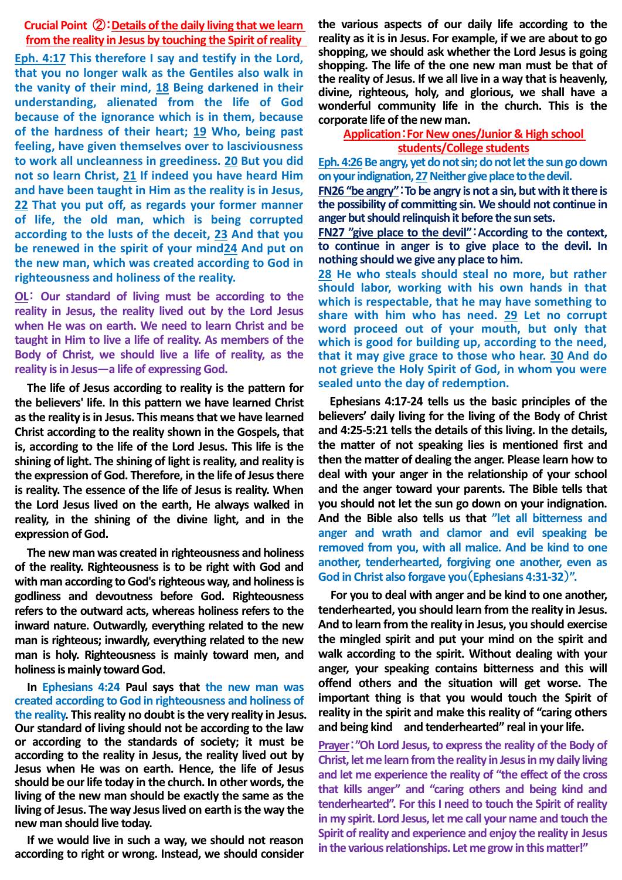## **Crucial Point** ②:**Details of the daily living that we learn from the reality in Jesus by touching the Spirit of reality**

**Eph. 4:17 This therefore I say and testify in the Lord, that you no longer walk as the Gentiles also walk in the vanity of their mind, 18 Being darkened in their understanding, alienated from the life of God because of the ignorance which is in them, because of the hardness of their heart; 19 Who, being past feeling, have given themselves over to lasciviousness to work all uncleanness in greediness. 20 But you did not so learn Christ, 21 If indeed you have heard Him and have been taught in Him as the reality is in Jesus, 22 That you put off, as regards your former manner of life, the old man, which is being corrupted according to the lusts of the deceit, 23 And that you be renewed in the spirit of your mind24 And put on the new man, which was created according to God in righteousness and holiness of the reality.** 

**OL**: **Our standard of living must be according to the reality in Jesus, the reality lived out by the Lord Jesus when He was on earth. We need to learn Christ and be taught in Him to live a life of reality. As members of the Body of Christ, we should live a life of reality, as the reality is in Jesus—a life of expressing God.**

**The life of Jesus according to reality is the pattern for the believers' life. In this pattern we have learned Christ as the reality is in Jesus. This means that we have learned Christ according to the reality shown in the Gospels, that is, according to the life of the Lord Jesus. This life is the shining of light. The shining of light is reality, and reality is the expression of God. Therefore, in the life of Jesus there is reality. The essence of the life of Jesus is reality. When the Lord Jesus lived on the earth, He always walked in reality, in the shining of the divine light, and in the expression of God.**

**The new man was created in righteousness and holiness of the reality. Righteousness is to be right with God and with man according to God's righteous way, and holiness is godliness and devoutness before God. Righteousness refers to the outward acts, whereas holiness refers to the inward nature. Outwardly, everything related to the new man is righteous; inwardly, everything related to the new man is holy. Righteousness is mainly toward men, and holiness is mainly toward God.**

**In Ephesians 4:24 Paul says that the new man was created according to God in righteousness and holiness of the reality. This reality no doubt is the very reality in Jesus. Our standard of living should not be according to the law or according to the standards of society; it must be according to the reality in Jesus, the reality lived out by Jesus when He was on earth. Hence, the life of Jesus should be our life today in the church. In other words, the living of the new man should be exactly the same as the**  living of Jesus. The way Jesus lived on earth is the way the **new man should live today.**

**If we would live in such a way, we should not reason according to right or wrong. Instead, we should consider**  **the various aspects of our daily life according to the reality as it is in Jesus. For example, if we are about to go shopping, we should ask whether the Lord Jesus is going shopping. The life of the one new man must be that of the reality of Jesus. If we all live in a way that is heavenly, divine, righteous, holy, and glorious, we shall have a wonderful community life in the church. This is the corporate life of the new man.**

## **Application**:**For New ones/Junior & High school students/College students**

Eph. 4:26 Be angry, yet do not sin; do not let the sun go down **on your indignation,27Neither give place to the devil.**

**FN26 "be angry"**:**To be angry is not a sin, but with it there is the possibility of committing sin. We should not continue in anger but should relinquish it before the sun sets.** 

**FN27 "give place to the devil"**:**According to the context, to continue in anger is to give place to the devil. In nothing should we give any place to him.** 

**28 He who steals should steal no more, but rather should labor, working with his own hands in that which is respectable, that he may have something to share with him who has need. 29 Let no corrupt word proceed out of your mouth, but only that which is good for building up, according to the need, that it may give grace to those who hear. 30 And do not grieve the Holy Spirit of God, in whom you were sealed unto the day of redemption.**

**Ephesians 4:17-24 tells us the basic principles of the believers' daily living for the living of the Body of Christ and 4:25-5:21 tells the details of this living. In the details, the matter of not speaking lies is mentioned first and then the matter of dealing the anger. Please learn how to deal with your anger in the relationship of your school and the anger toward your parents. The Bible tells that you should not let the sun go down on your indignation. And the Bible also tells us that "let all bitterness and anger and wrath and clamor and evil speaking be removed from you, with all malice. And be kind to one another, tenderhearted, forgiving one another, even as God in Christ also forgave you**(**Ephesians 4:31-32**)**".**

**For you to deal with anger and be kind to one another, tenderhearted, you should learn from the reality in Jesus. And to learn from the reality in Jesus, you should exercise the mingled spirit and put your mind on the spirit and walk according to the spirit. Without dealing with your anger, your speaking contains bitterness and this will offend others and the situation will get worse. The important thing is that you would touch the Spirit of reality in the spirit and make this reality of "caring others and being kind and tenderhearted" real in your life.** 

**Prayer**:**"Oh Lord Jesus, to express the reality of the Body of Christ, let me learn from the reality in Jesus in my daily living and let me experience the reality of "the effect of the cross that kills anger" and "caring others and being kind and tenderhearted". For this I need to touch the Spirit of reality in my spirit. Lord Jesus, let me call your name and touch the Spirit of reality and experience and enjoy the reality in Jesus in the various relationships. Let me grow in this matter!"**